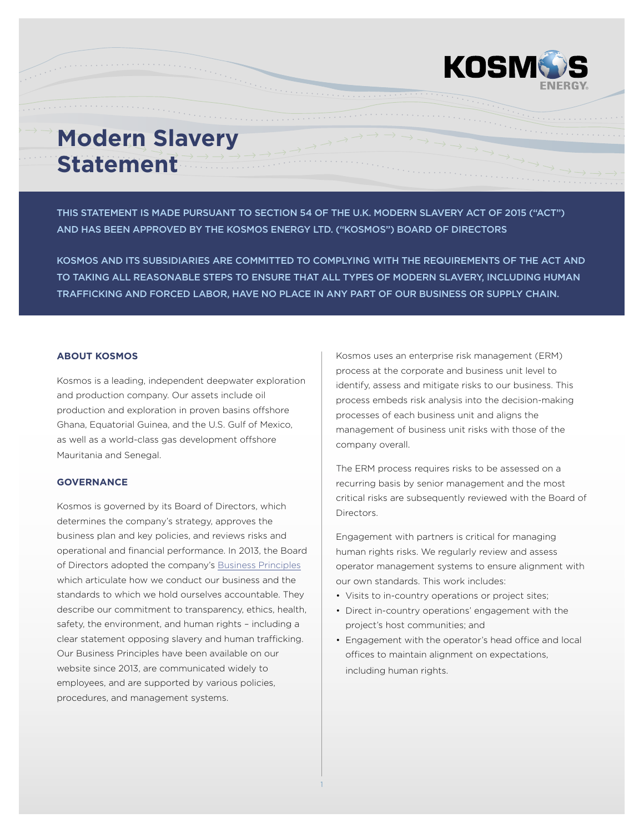

THIS STATEMENT IS MADE PURSUANT TO SECTION 54 OF THE U.K. MODERN SLAVERY ACT OF 2015 ("ACT") AND HAS BEEN APPROVED BY THE KOSMOS ENERGY LTD. ("KOSMOS") BOARD OF DIRECTORS

KOSMOS AND ITS SUBSIDIARIES ARE COMMITTED TO COMPLYING WITH THE REQUIREMENTS OF THE ACT AND TO TAKING ALL REASONABLE STEPS TO ENSURE THAT ALL TYPES OF MODERN SLAVERY, INCLUDING HUMAN TRAFFICKING AND FORCED LABOR, HAVE NO PLACE IN ANY PART OF OUR BUSINESS OR SUPPLY CHAIN.

1

#### **ABOUT KOSMOS**

Kosmos is a leading, independent deepwater exploration and production company. Our assets include oil production and exploration in proven basins offshore Ghana, Equatorial Guinea, and the U.S. Gulf of Mexico, as well as a world-class gas development offshore Mauritania and Senegal.

# **GOVERNANCE**

Kosmos is governed by its Board of Directors, which determines the company's strategy, approves the business plan and key policies, and reviews risks and operational and financial performance. In 2013, the Board of Directors adopted the company's [Business Principles](http://www.kosmosenergy.com/business-principles/index.html) which articulate how we conduct our business and the standards to which we hold ourselves accountable. They describe our commitment to transparency, ethics, health, safety, the environment, and human rights – including a clear statement opposing slavery and human trafficking. Our Business Principles have been available on our website since 2013, are communicated widely to employees, and are supported by various policies, procedures, and management systems.

Kosmos uses an enterprise risk management (ERM) process at the corporate and business unit level to identify, assess and mitigate risks to our business. This process embeds risk analysis into the decision-making processes of each business unit and aligns the management of business unit risks with those of the company overall.

The ERM process requires risks to be assessed on a recurring basis by senior management and the most critical risks are subsequently reviewed with the Board of Directors.

Engagement with partners is critical for managing human rights risks. We regularly review and assess operator management systems to ensure alignment with our own standards. This work includes:

- Visits to in-country operations or project sites;
- Direct in-country operations' engagement with the project's host communities; and
- Engagement with the operator's head office and local offices to maintain alignment on expectations, including human rights.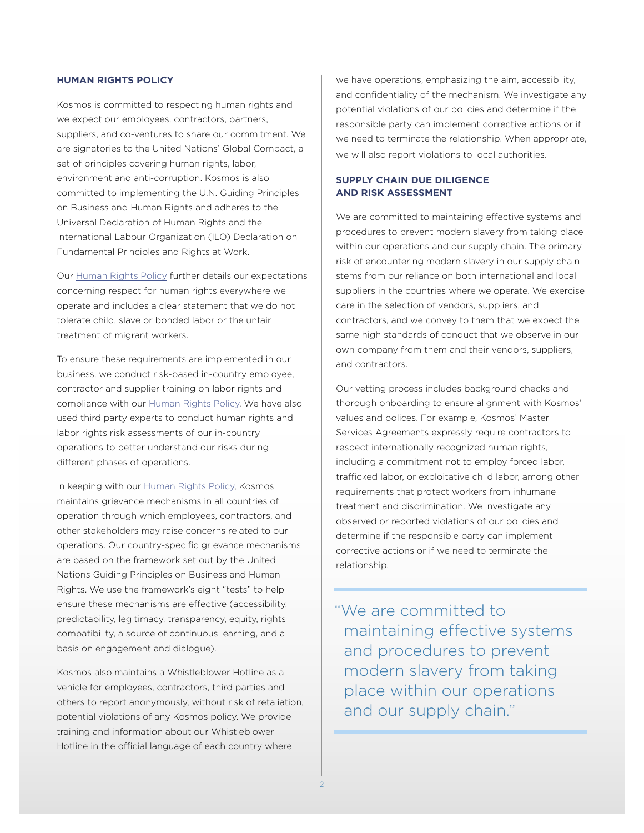### **HUMAN RIGHTS POLICY**

Kosmos is committed to respecting human rights and we expect our employees, contractors, partners, suppliers, and co-ventures to share our commitment. We are signatories to the United Nations' Global Compact, a set of principles covering human rights, labor, environment and anti-corruption. Kosmos is also committed to implementing the U.N. Guiding Principles on Business and Human Rights and adheres to the Universal Declaration of Human Rights and the International Labour Organization (ILO) Declaration on Fundamental Principles and Rights at Work.

Our [Human Rights Policy](http://www.kosmosenergy.com/responsibility/pdf/Kosmos-Human-Rights-Policy.pdf) further details our expectations concerning respect for human rights everywhere we operate and includes a clear statement that we do not tolerate child, slave or bonded labor or the unfair treatment of migrant workers.

To ensure these requirements are implemented in our business, we conduct risk-based in-country employee, contractor and supplier training on labor rights and compliance with our [Human Rights Policy.](http://www.kosmosenergy.com/responsibility/pdf/Kosmos-Human-Rights-Policy.pdf) We have also used third party experts to conduct human rights and labor rights risk assessments of our in-country operations to better understand our risks during different phases of operations.

In keeping with our [Human Rights Policy,](http://www.kosmosenergy.com/responsibility/pdf/Kosmos-Human-Rights-Policy.pdf) Kosmos maintains grievance mechanisms in all countries of operation through which employees, contractors, and other stakeholders may raise concerns related to our operations. Our country-specific grievance mechanisms are based on the framework set out by the United Nations Guiding Principles on Business and Human Rights. We use the framework's eight "tests" to help ensure these mechanisms are effective (accessibility, predictability, legitimacy, transparency, equity, rights compatibility, a source of continuous learning, and a basis on engagement and dialogue).

Kosmos also maintains a Whistleblower Hotline as a vehicle for employees, contractors, third parties and others to report anonymously, without risk of retaliation, potential violations of any Kosmos policy. We provide training and information about our Whistleblower Hotline in the official language of each country where

we have operations, emphasizing the aim, accessibility, and confidentiality of the mechanism. We investigate any potential violations of our policies and determine if the responsible party can implement corrective actions or if we need to terminate the relationship. When appropriate, we will also report violations to local authorities.

# **SUPPLY CHAIN DUE DILIGENCE AND RISK ASSESSMENT**

We are committed to maintaining effective systems and procedures to prevent modern slavery from taking place within our operations and our supply chain. The primary risk of encountering modern slavery in our supply chain stems from our reliance on both international and local suppliers in the countries where we operate. We exercise care in the selection of vendors, suppliers, and contractors, and we convey to them that we expect the same high standards of conduct that we observe in our own company from them and their vendors, suppliers, and contractors.

Our vetting process includes background checks and thorough onboarding to ensure alignment with Kosmos' values and polices. For example, Kosmos' Master Services Agreements expressly require contractors to respect internationally recognized human rights, including a commitment not to employ forced labor, trafficked labor, or exploitative child labor, among other requirements that protect workers from inhumane treatment and discrimination. We investigate any observed or reported violations of our policies and determine if the responsible party can implement corrective actions or if we need to terminate the relationship.

"We are committed to maintaining effective systems and procedures to prevent modern slavery from taking place within our operations and our supply chain."